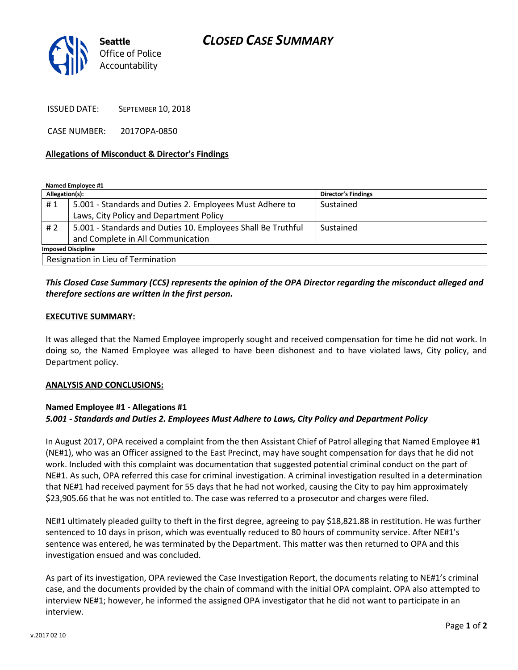# *CLOSED CASE SUMMARY*



ISSUED DATE: SEPTEMBER 10, 2018

CASE NUMBER: 2017OPA-0850

#### **Allegations of Misconduct & Director's Findings**

**Named Employee #1**

| Allegation(s):                     |                                                              | <b>Director's Findings</b> |
|------------------------------------|--------------------------------------------------------------|----------------------------|
| #1                                 | 5.001 - Standards and Duties 2. Employees Must Adhere to     | Sustained                  |
|                                    | Laws, City Policy and Department Policy                      |                            |
| #2                                 | 5.001 - Standards and Duties 10. Employees Shall Be Truthful | Sustained                  |
|                                    | and Complete in All Communication                            |                            |
| <b>Imposed Discipline</b>          |                                                              |                            |
| Resignation in Lieu of Termination |                                                              |                            |

## *This Closed Case Summary (CCS) represents the opinion of the OPA Director regarding the misconduct alleged and therefore sections are written in the first person.*

#### **EXECUTIVE SUMMARY:**

It was alleged that the Named Employee improperly sought and received compensation for time he did not work. In doing so, the Named Employee was alleged to have been dishonest and to have violated laws, City policy, and Department policy.

#### **ANALYSIS AND CONCLUSIONS:**

#### **Named Employee #1 - Allegations #1** *5.001 - Standards and Duties 2. Employees Must Adhere to Laws, City Policy and Department Policy*

In August 2017, OPA received a complaint from the then Assistant Chief of Patrol alleging that Named Employee #1 (NE#1), who was an Officer assigned to the East Precinct, may have sought compensation for days that he did not work. Included with this complaint was documentation that suggested potential criminal conduct on the part of NE#1. As such, OPA referred this case for criminal investigation. A criminal investigation resulted in a determination that NE#1 had received payment for 55 days that he had not worked, causing the City to pay him approximately \$23,905.66 that he was not entitled to. The case was referred to a prosecutor and charges were filed.

NE#1 ultimately pleaded guilty to theft in the first degree, agreeing to pay \$18,821.88 in restitution. He was further sentenced to 10 days in prison, which was eventually reduced to 80 hours of community service. After NE#1's sentence was entered, he was terminated by the Department. This matter was then returned to OPA and this investigation ensued and was concluded.

As part of its investigation, OPA reviewed the Case Investigation Report, the documents relating to NE#1's criminal case, and the documents provided by the chain of command with the initial OPA complaint. OPA also attempted to interview NE#1; however, he informed the assigned OPA investigator that he did not want to participate in an interview.